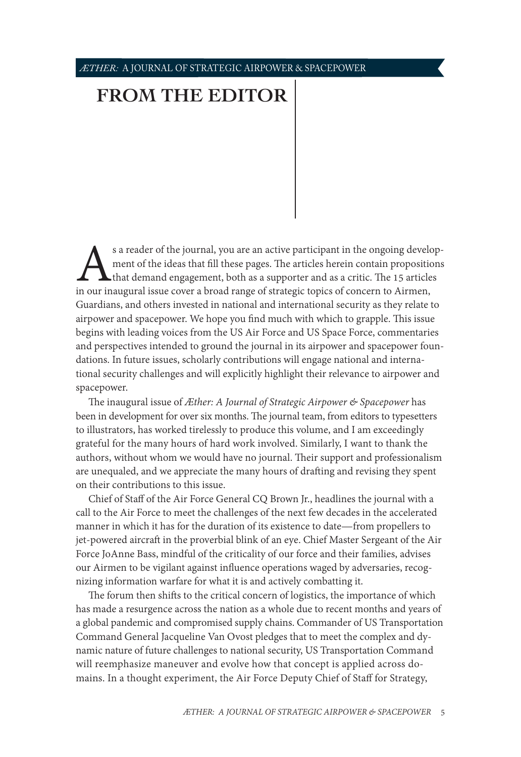## *ÆTHER:* A JOURNAL OF STRATEGIC AIRPOWER & SPACEPOWER

## **[FROM THE EDITOR](#page-0-0)**

s a reader of the journal, you are an active participant in the ongoing develop-<br>ment of the ideas that fill these pages. The articles herein contain propositions<br>that demand engagement, both as a supporter and as a critic ment of the ideas that fill these pages. The articles herein contain propositions that demand engagement, both as a supporter and as a critic. The 15 articles Guardians, and others invested in national and international security as they relate to airpower and spacepower. We hope you find much with which to grapple. This issue begins with leading voices from the US Air Force and US Space Force, commentaries and perspectives intended to ground the journal in its airpower and spacepower foundations. In future issues, scholarly contributions will engage national and international security challenges and will explicitly highlight their relevance to airpower and spacepower.

The inaugural issue of *Æther: A Journal of Strategic Airpower & Spacepower* has been in development for over six months. The journal team, from editors to typesetters to illustrators, has worked tirelessly to produce this volume, and I am exceedingly grateful for the many hours of hard work involved. Similarly, I want to thank the authors, without whom we would have no journal. Their support and professionalism are unequaled, and we appreciate the many hours of drafting and revising they spent on their contributions to this issue.

Chief of Staff of the Air Force General CQ Brown Jr., headlines the journal with a call to the Air Force to meet the challenges of the next few decades in the accelerated manner in which it has for the duration of its existence to date—from propellers to jet-powered aircraft in the proverbial blink of an eye. Chief Master Sergeant of the Air Force JoAnne Bass, mindful of the criticality of our force and their families, advises our Airmen to be vigilant against influence operations waged by adversaries, recognizing information warfare for what it is and actively combatting it.

<span id="page-0-0"></span>The forum then shifts to the critical concern of logistics, the importance of which has made a resurgence across the nation as a whole due to recent months and years of a global pandemic and compromised supply chains. Commander of US Transportation Command General Jacqueline Van Ovost pledges that to meet the complex and dynamic nature of future challenges to national security, US Transportation Command will reemphasize maneuver and evolve how that concept is applied across domains. In a thought experiment, the Air Force Deputy Chief of Staff for Strategy,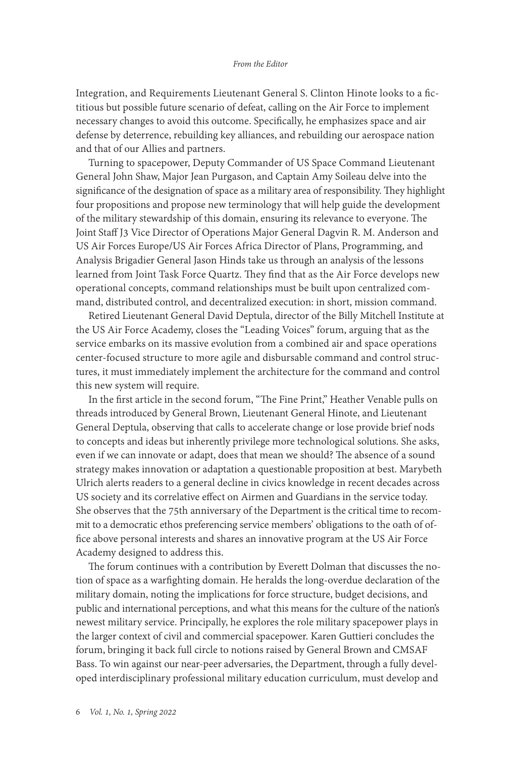Integration, and Requirements Lieutenant General S. Clinton Hinote looks to a fictitious but possible future scenario of defeat, calling on the Air Force to implement necessary changes to avoid this outcome. Specifically, he emphasizes space and air defense by deterrence, rebuilding key alliances, and rebuilding our aerospace nation and that of our Allies and partners.

Turning to spacepower, Deputy Commander of US Space Command Lieutenant General John Shaw, Major Jean Purgason, and Captain Amy Soileau delve into the significance of the designation of space as a military area of responsibility. They highlight four propositions and propose new terminology that will help guide the development of the military stewardship of this domain, ensuring its relevance to everyone. The Joint Staff J3 Vice Director of Operations Major General Dagvin R. M. Anderson and US Air Forces Europe/US Air Forces Africa Director of Plans, Programming, and Analysis Brigadier General Jason Hinds take us through an analysis of the lessons learned from Joint Task Force Quartz. They find that as the Air Force develops new operational concepts, command relationships must be built upon centralized command, distributed control, and decentralized execution: in short, mission command.

Retired Lieutenant General David Deptula, director of the Billy Mitchell Institute at the US Air Force Academy, closes the "Leading Voices" forum, arguing that as the service embarks on its massive evolution from a combined air and space operations center-focused structure to more agile and disbursable command and control structures, it must immediately implement the architecture for the command and control this new system will require.

In the first article in the second forum, "The Fine Print," Heather Venable pulls on threads introduced by General Brown, Lieutenant General Hinote, and Lieutenant General Deptula, observing that calls to accelerate change or lose provide brief nods to concepts and ideas but inherently privilege more technological solutions. She asks, even if we can innovate or adapt, does that mean we should? The absence of a sound strategy makes innovation or adaptation a questionable proposition at best. Marybeth Ulrich alerts readers to a general decline in civics knowledge in recent decades across US society and its correlative effect on Airmen and Guardians in the service today. She observes that the 75th anniversary of the Department is the critical time to recommit to a democratic ethos preferencing service members' obligations to the oath of office above personal interests and shares an innovative program at the US Air Force Academy designed to address this.

The forum continues with a contribution by Everett Dolman that discusses the notion of space as a warfighting domain. He heralds the long-overdue declaration of the military domain, noting the implications for force structure, budget decisions, and public and international perceptions, and what this means for the culture of the nation's newest military service. Principally, he explores the role military spacepower plays in the larger context of civil and commercial spacepower. Karen Guttieri concludes the forum, bringing it back full circle to notions raised by General Brown and CMSAF Bass. To win against our near-peer adversaries, the Department, through a fully developed interdisciplinary professional military education curriculum, must develop and